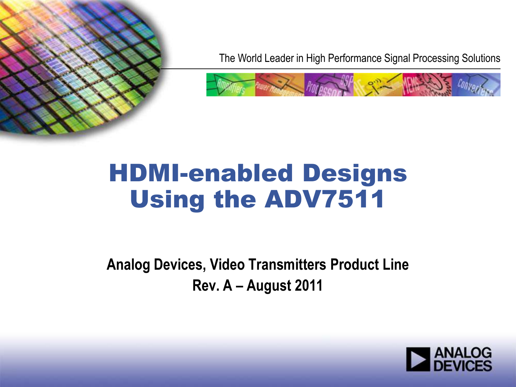

The World Leader in High Performance Signal Processing Solutions



# HDMI-enabled Designs Using the ADV7511

**Analog Devices, Video Transmitters Product Line Rev. A – August 2011**

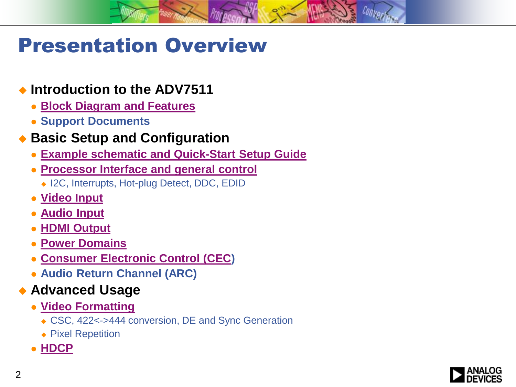## Presentation Overview

#### **Introduction to the ADV7511**

- **[Block Diagram and Features](#page-3-0)**
- **Support Documents**

#### **Basic Setup and Configuration**

- **[Example schematic and Quick-Start Setup Guide](#page-8-0)**
- **[Processor Interface and general control](#page-11-0)**
	- ◆ I2C, Interrupts, Hot-plug Detect, DDC, EDID
- **[Video Input](#page-16-0)**
- **[Audio Input](#page-20-0)**
- **[HDMI Output](#page-25-0)**
- **[Power Domains](#page-27-0)**
- **[Consumer Electronic Control \(CEC\)](#page-28-0)**
- **Audio Return Channel (ARC)**

#### ◆ Advanced Usage

- **[Video Formatting](#page-36-0)**
	- ◆ CSC, 422<->444 conversion, DE and Sync Generation
	- ◆ Pixel Repetition
- **[HDCP](#page-44-0)**

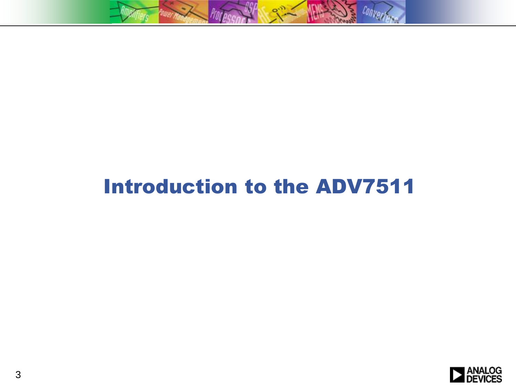

## Introduction to the ADV7511

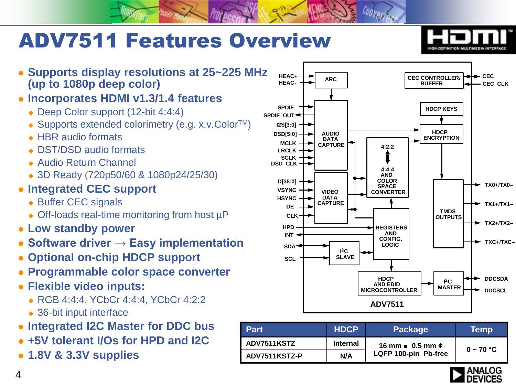# ADV7511 Features Overview



- **Supports display resolutions at 25~225 MHz (up to 1080p deep color)**
- **Incorporates HDMI v1.3/1.4 features**
	- ◆ Deep Color support (12-bit 4:4:4)
	- ◆ Supports extended colorimetry (e.g. x.v.Color<sup>TM</sup>)
	- ◆ HBR audio formats
	- ◆ DST/DSD audio formats
	- ◆ Audio Return Channel
	- 3D Ready (720p50/60 & 1080p24/25/30)
- **Integrated CEC support**
	- ◆ Buffer CEC signals
	- ◆ Off-loads real-time monitoring from host µP
- **Low standby power**
- **Software driver → Easy implementation**
- **Optional on-chip HDCP support**
- **Programmable color space converter**
- **Flexible video inputs:**
	- ◆ RGB 4:4:4, YCbCr 4:4:4, YCbCr 4:2:2
	- ◆ 36-bit input interface
- **Integrated I2C Master for DDC bus**
- **+5V tolerant I/Os for HPD and I2C**
- <span id="page-3-0"></span>**1.8V & 3.3V supplies**



| <b>Part</b>   | <b>HDCP</b>     | <b>Package</b>               | Temp        |
|---------------|-----------------|------------------------------|-------------|
| ADV7511KSTZ   | <b>Internal</b> | 16 mm $\equiv 0.5$ mm $\phi$ | $0 - 70 °C$ |
| ADV7511KSTZ-P | N/A             | LQFP 100-pin Pb-free         |             |

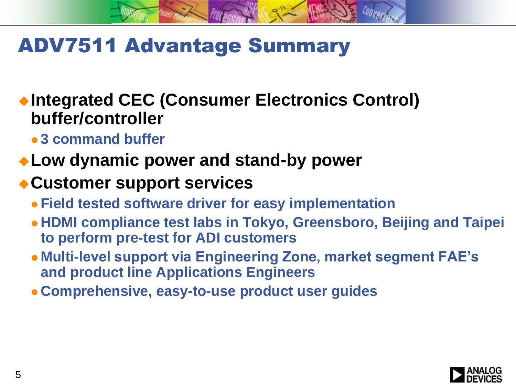## ADV7511 Advantage Summary

◆Integrated CEC (Consumer Electronics Control) **buffer/controller** 

- **3 command buffer**
- **Low dynamic power and stand-by power**

### **Customer support services**

- **Field tested software driver for easy implementation**
- **HDMI compliance test labs in Tokyo, Greensboro, Beijing and Taipei to perform pre-test for ADI customers**
- **Multi-level support via Engineering Zone, market segment FAE's and product line Applications Engineers**
- **Comprehensive, easy-to-use product user guides**

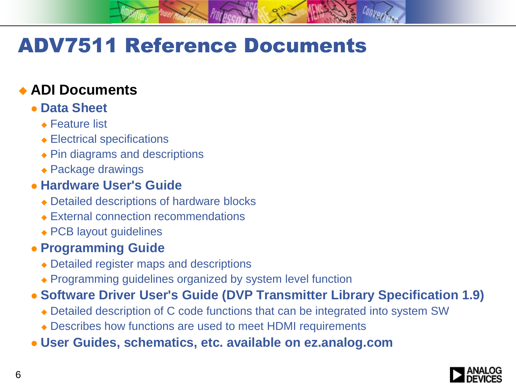# ADV7511 Reference Documents

### **ADI Documents**

#### **Data Sheet**

- **★ Feature list**
- Electrical specifications
- ◆ Pin diagrams and descriptions
- ◆ Package drawings

#### **Hardware User's Guide**

- Detailed descriptions of hardware blocks
- ◆ External connection recommendations
- ◆ PCB layout guidelines

#### **Programming Guide**

- Detailed register maps and descriptions
- ◆ Programming guidelines organized by system level function
- **Software Driver User's Guide (DVP Transmitter Library Specification 1.9)**
	- Detailed description of C code functions that can be integrated into system SW
	- Describes how functions are used to meet HDMI requirements
- **User Guides, schematics, etc. available on ez.analog.com**

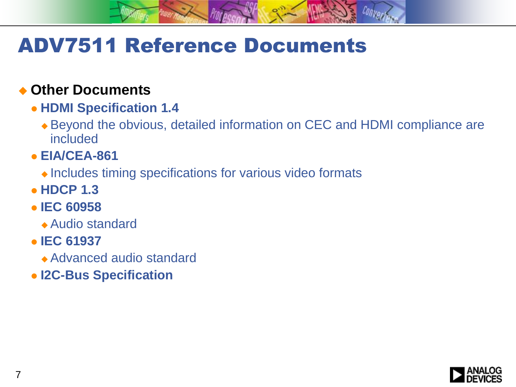## ADV7511 Reference Documents

#### **Other Documents**

- **HDMI Specification 1.4**
	- Beyond the obvious, detailed information on CEC and HDMI compliance are included
- **EIA/CEA-861**
	- $\bullet$  Includes timing specifications for various video formats
- **HDCP 1.3**
- **IEC 60958**
	- Audio standard
- **IEC 61937**
	- Advanced audio standard
- **I2C-Bus Specification**

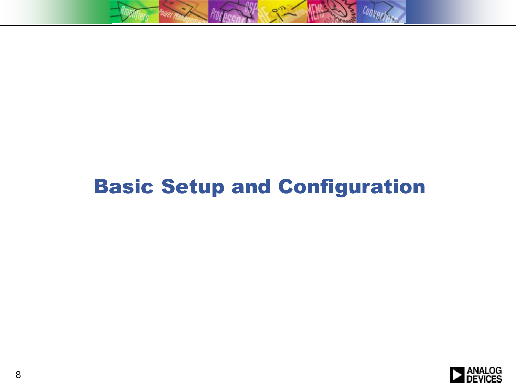

## Basic Setup and Configuration

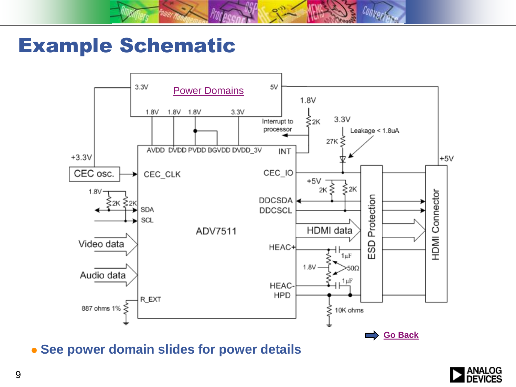

### Example Schematic



<span id="page-8-0"></span>**See power domain slides for power details**

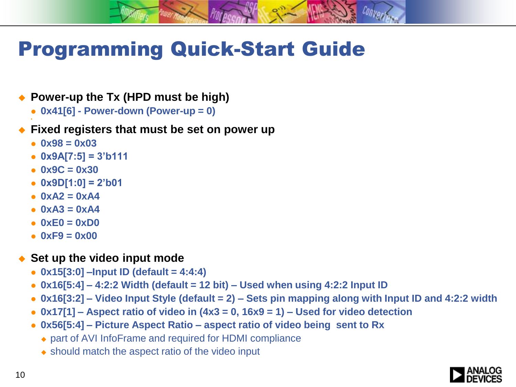## Programming Quick-Start Guide

#### ◆ Power-up the Tx (HPD must be high)

**0x41[6] - Power-down (Power-up = 0)**

#### **Fixed registers that must be set on power up**

**0x98 = 0x03**

۰

- **0x9A[7:5] = 3'b111**
- **0x9C = 0x30**
- **0x9D[1:0] = 2'b01**
- $0xA2 = 0xA4$
- $0xA3 = 0xA4$
- **0xE0 = 0xD0**
- **0xF9 = 0x00**

#### ◆ Set up the video input mode

- **0x15[3:0] –Input ID (default = 4:4:4)**
- **0x16[5:4] – 4:2:2 Width (default = 12 bit) – Used when using 4:2:2 Input ID**
- **0x16[3:2] – Video Input Style (default = 2) – Sets pin mapping along with Input ID and 4:2:2 width**
- **0x17[1] – Aspect ratio of video in (4x3 = 0, 16x9 = 1) – Used for video detection**
- **0x56[5:4] – Picture Aspect Ratio – aspect ratio of video being sent to Rx** 
	- part of AVI InfoFrame and required for HDMI compliance
	- $\bullet$  should match the aspect ratio of the video input

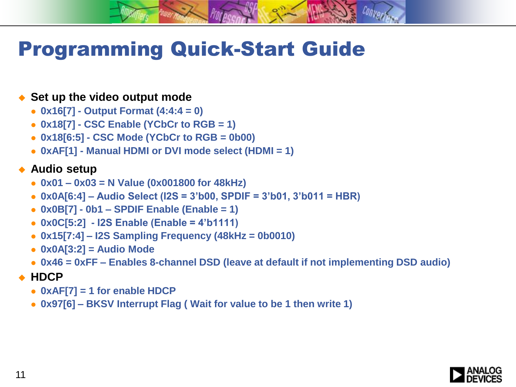## Programming Quick-Start Guide

#### ◆ Set up the video output mode

- **0x16[7] - Output Format (4:4:4 = 0)**
- **0x18[7] - CSC Enable (YCbCr to RGB = 1)**
- **0x18[6:5] - CSC Mode (YCbCr to RGB = 0b00)**
- **0xAF[1] - Manual HDMI or DVI mode select (HDMI = 1)**

#### ◆ Audio setup

- **0x01 – 0x03 = N Value (0x001800 for 48kHz)**
- **0x0A[6:4] – Audio Select (I2S = 3'b00, SPDIF = 3'b01, 3'b011 = HBR)**
- **0x0B[7] - 0b1 – SPDIF Enable (Enable = 1)**
- **0x0C[5:2] - I2S Enable (Enable = 4'b1111)**
- **0x15[7:4] – I2S Sampling Frequency (48kHz = 0b0010)**
- **0x0A[3:2] = Audio Mode**
- **0x46 = 0xFF – Enables 8-channel DSD (leave at default if not implementing DSD audio)**
- **HDCP**
	- **0xAF[7] = 1 for enable HDCP**
	- **0x97[6] – BKSV Interrupt Flag ( Wait for value to be 1 then write 1)**

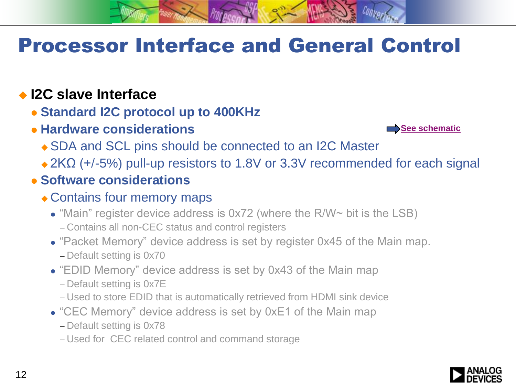### **I2C slave Interface**

- **Standard I2C protocol up to 400KHz**
- **Hardware considerations**



- ◆ SDA and SCL pins should be connected to an I2C Master
- $\triangle$  2KΩ (+/-5%) pull-up resistors to 1.8V or 3.3V recommended for each signal
- <span id="page-11-0"></span> **Software considerations**
	- Contains four memory maps
		- "Main" register device address is 0x72 (where the R/W~ bit is the LSB)
			- Contains all non-CEC status and control registers
		- "Packet Memory" device address is set by register 0x45 of the Main map. Default setting is 0x70
		- "EDID Memory" device address is set by 0x43 of the Main map
			- Default setting is 0x7E
			- Used to store EDID that is automatically retrieved from HDMI sink device
		- "CEC Memory" device address is set by 0xE1 of the Main map
			- Default setting is 0x78
			- Used for CEC related control and command storage

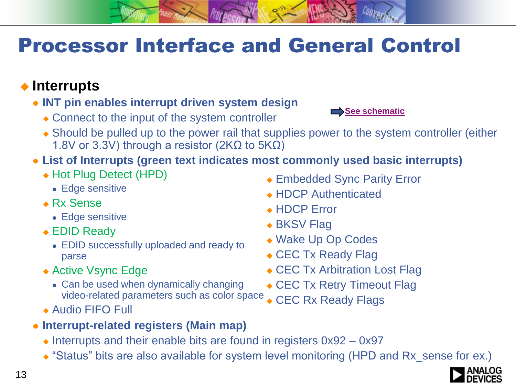### **Interrupts**

- **INT pin enables interrupt driven system design**
	- Connect to the input of the system controller



- Should be pulled up to the power rail that supplies power to the system controller (either 1.8V or 3.3V) through a resistor (2K $\Omega$  to 5K $\Omega$ )
- **List of Interrupts (green text indicates most commonly used basic interrupts)**
	- ◆ Hot Plug Detect (HPD)
		- Edge sensitive
	- Rx Sense
		- Edge sensitive
	- EDID Ready
		- EDID successfully uploaded and ready to parse
	- ◆ Active Vsync Edge
		- Can be used when dynamically changing video-related parameters such as color space
	- Audio FIFO Full
- **Interrupt-related registers (Main map)**
	- $\triangle$  Interrupts and their enable bits are found in registers  $0x92 0x97$
	- "Status" bits are also available for system level monitoring (HPD and Rx\_sense for ex.)
- Embedded Sync Parity Error
- ◆ HDCP Authenticated
- ◆ HDCP Error
- ◆ BKSV Flag
- ◆ Wake Up Op Codes
- ◆ CEC Tx Ready Flag
- ◆ CEC Tx Arbitration Lost Flag
- ◆ CEC Tx Retry Timeout Flag
- ◆ CEC Rx Ready Flags

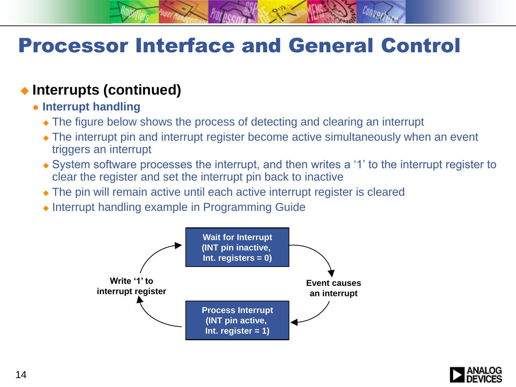#### **Interrupts (continued)**

- **Interrupt handling**
	- The figure below shows the process of detecting and clearing an interrupt
	- The interrupt pin and interrupt register become active simultaneously when an event triggers an interrupt
	- System software processes the interrupt, and then writes a '1' to the interrupt register to clear the register and set the interrupt pin back to inactive
	- The pin will remain active until each active interrupt register is cleared
	- $\bullet$  Interrupt handling example in Programming Guide



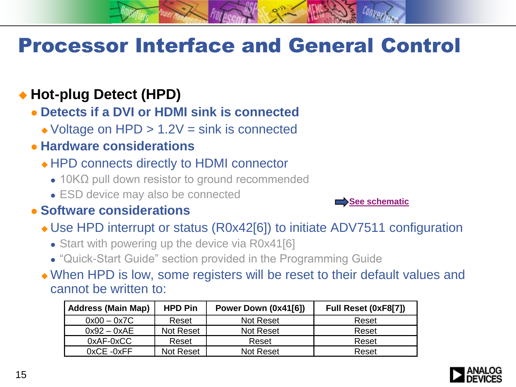### ◆ Hot-plug Detect (HPD)

**Detects if a DVI or HDMI sink is connected**

- $\triangle$  Voltage on HPD  $> 1.2V = \text{sink}$  is connected
- **Hardware considerations**
	- HPD connects directly to HDMI connector
		- 10KΩ pull down resistor to ground recommended
		- ESD device may also be connected

#### **Software considerations**

Use HPD interrupt or status (R0x42[6]) to initiate ADV7511 configuration

[See schematic](#page-8-0)

- Start with powering up the device via R0x41[6]
- "Quick-Start Guide" section provided in the Programming Guide

 When HPD is low, some registers will be reset to their default values and cannot be written to:

| <b>Address (Main Map)</b> | <b>HPD Pin</b>   | Power Down (0x41[6]) | Full Reset (0xF8[7]) |
|---------------------------|------------------|----------------------|----------------------|
| $0x00 - 0x7C$             | Reset            | Not Reset            | Reset                |
| $0x92 - 0xAE$             | Not Reset        | Not Reset            | Reset                |
| $0xAF-0xCC$               | Reset            | Reset                | Reset                |
| $0xCE -0xFF$              | <b>Not Reset</b> | <b>Not Reset</b>     | Reset                |

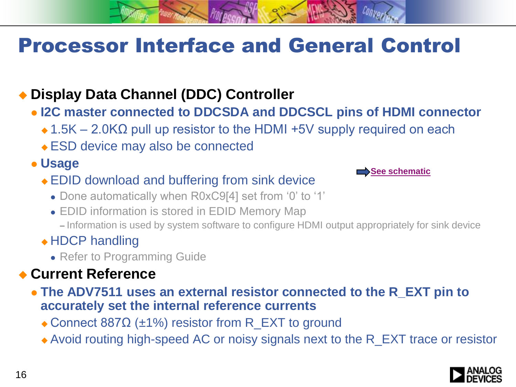### **Display Data Channel (DDC) Controller**

- **I2C master connected to DDCSDA and DDCSCL pins of HDMI connector**
	- $\triangle$  1.5K 2.0K $\Omega$  pull up resistor to the HDMI +5V supply required on each
	- ESD device may also be connected

#### **Usage**

- EDID download and buffering from sink device
	- Done automatically when R0xC9[4] set from '0' to '1'
	- EDID information is stored in EDID Memory Map
		- Information is used by system software to configure HDMI output appropriately for sink device

#### ◆ HDCP handling

• Refer to Programming Guide

### **Current Reference**

- **The ADV7511 uses an external resistor connected to the R\_EXT pin to accurately set the internal reference currents**
	- Connect 887 $\Omega$  (±1%) resistor from R\_EXT to ground
	- Avoid routing high-speed AC or noisy signals next to the R\_EXT trace or resistor



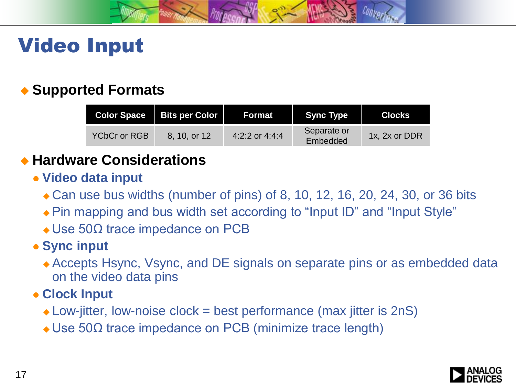

## Video Input

### **Supported Formats**

| <b>Color Space</b> | <b>Bits per Color</b> | Format           | <b>Sync Type</b>        | <b>Clocks</b> |
|--------------------|-----------------------|------------------|-------------------------|---------------|
| YCbCr or RGB       | 8, 10, or 12          | 4:2:2 or $4:4:4$ | Separate or<br>Embedded | 1x, 2x or DDR |

### **Hardware Considerations**

- **Video data input**
	- ◆ Can use bus widths (number of pins) of 8, 10, 12, 16, 20, 24, 30, or 36 bits
	- Pin mapping and bus width set according to "Input ID" and "Input Style"
	- $\triangle$  Use 50 $\Omega$  trace impedance on PCB

#### **• Sync input**

- Accepts Hsync, Vsync, and DE signals on separate pins or as embedded data on the video data pins
- <span id="page-16-0"></span> **Clock Input**
	- $\triangle$  Low-jitter, low-noise clock = best performance (max jitter is 2nS)
	- Use 50Ω trace impedance on PCB (minimize trace length)

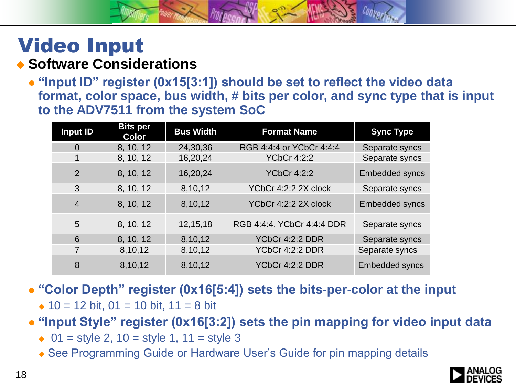#### Video Input **Software Considerations**

 **"Input ID" register (0x15[3:1]) should be set to reflect the video data format, color space, bus width, # bits per color, and sync type that is input to the ADV7511 from the system SoC**

| <b>Input ID</b> | <b>Bits per</b><br><b>Color</b> | <b>Bus Width</b> | <b>Format Name</b>         | <b>Sync Type</b>      |
|-----------------|---------------------------------|------------------|----------------------------|-----------------------|
| $\overline{0}$  | 8, 10, 12                       | 24,30,36         | RGB 4:4:4 or YCbCr 4:4:4   | Separate syncs        |
|                 | 8, 10, 12                       | 16,20,24         | <b>YCbCr 4:2:2</b>         | Separate syncs        |
| $\overline{2}$  | 8, 10, 12                       | 16,20,24         | <b>YCbCr 4:2:2</b>         | Embedded syncs        |
| 3               | 8, 10, 12                       | 8,10,12          | YCbCr 4:2:2 2X clock       | Separate syncs        |
| $\overline{4}$  | 8, 10, 12                       | 8,10,12          | YCbCr 4:2:2 2X clock       | <b>Embedded syncs</b> |
| 5               | 8, 10, 12                       | 12,15,18         | RGB 4:4:4, YCbCr 4:4:4 DDR | Separate syncs        |
| 6               | 8, 10, 12                       | 8,10,12          | YCbCr 4:2:2 DDR            | Separate syncs        |
| 7               | 8,10,12                         | 8,10,12          | YCbCr 4:2:2 DDR            | Separate syncs        |
| 8               | 8,10,12                         | 8,10,12          | YCbCr 4:2:2 DDR            | <b>Embedded syncs</b> |

- **"Color Depth" register (0x16[5:4]) sets the bits-per-color at the input**
	- $\div$  10 = 12 bit, 01 = 10 bit, 11 = 8 bit
- **"Input Style" register (0x16[3:2]) sets the pin mapping for video input data**
	- $\bullet$  01 = style 2, 10 = style 1, 11 = style 3
	- See Programming Guide or Hardware User's Guide for pin mapping details

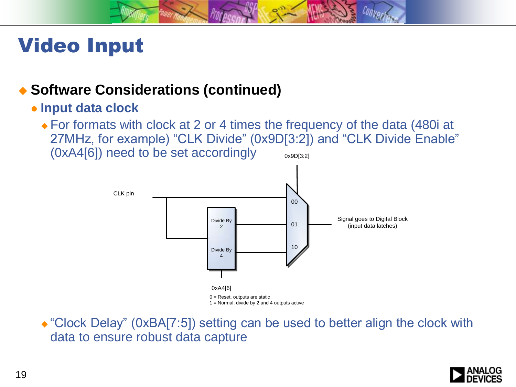

## Video Input

#### ◆ Software Considerations (continued)

#### **Input data clock**

 For formats with clock at 2 or 4 times the frequency of the data (480i at 27MHz, for example) "CLK Divide" (0x9D[3:2]) and "CLK Divide Enable" (0xA4[6]) need to be set accordingly 0x9D[3:2]



• "Clock Delay" (0xBA[7:5]) setting can be used to better align the clock with data to ensure robust data capture

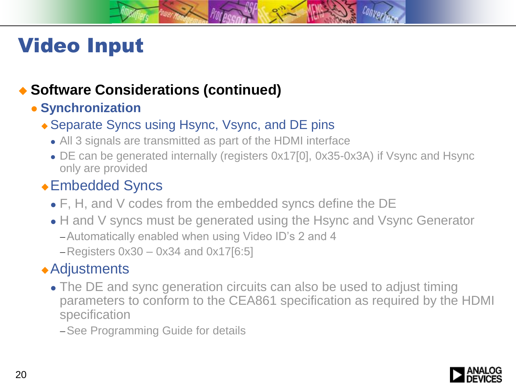## Video Input

### ◆ Software Considerations (continued)

#### **• Synchronization**

#### ◆ Separate Syncs using Hsync, Vsync, and DE pins

- All 3 signals are transmitted as part of the HDMI interface
- DE can be generated internally (registers 0x17[0], 0x35-0x3A) if Vsync and Hsync only are provided

### Embedded Syncs

- F, H, and V codes from the embedded syncs define the DE
- H and V syncs must be generated using the Hsync and Vsync Generator Automatically enabled when using Video ID's 2 and 4
	- $-$ Registers 0x30  $-$  0x34 and 0x17[6:5]

### Adjustments

• The DE and sync generation circuits can also be used to adjust timing parameters to conform to the CEA861 specification as required by the HDMI specification

- See Programming Guide for details

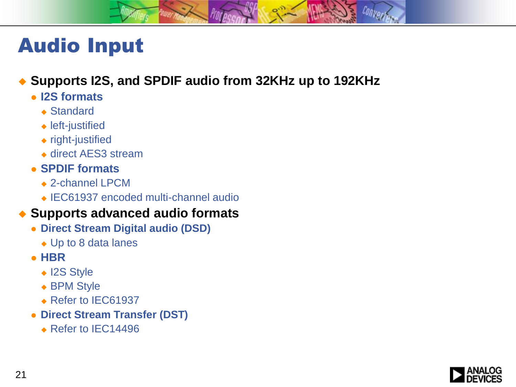

#### **Supports I2S, and SPDIF audio from 32KHz up to 192KHz**

- **I2S formats**
	- ◆ Standard
	- ◆ left-justified
	- right-justified
	- ◆ direct AES3 stream
- **SPDIF formats**
	- ◆ 2-channel LPCM
	- ◆ IEC61937 encoded multi-channel audio

#### **Supports advanced audio formats**

- **Direct Stream Digital audio (DSD)**
	- ◆ Up to 8 data lanes
- **HBR**
	- ◆ I2S Style
	- ◆ BPM Style
	- ◆ Refer to IEC61937
- <span id="page-20-0"></span> **Direct Stream Transfer (DST)**
	- ◆ Refer to IEC14496

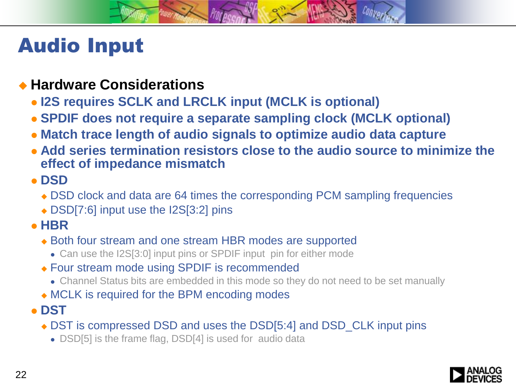#### **Hardware Considerations**

- **I2S requires SCLK and LRCLK input (MCLK is optional)**
- **SPDIF does not require a separate sampling clock (MCLK optional)**
- **Match trace length of audio signals to optimize audio data capture**
- **Add series termination resistors close to the audio source to minimize the effect of impedance mismatch**
- **DSD**
	- DSD clock and data are 64 times the corresponding PCM sampling frequencies
	- ◆ DSD[7:6] input use the I2S[3:2] pins
- **HBR**
	- ◆ Both four stream and one stream HBR modes are supported
		- Can use the I2S[3:0] input pins or SPDIF input pin for either mode
	- ◆ Four stream mode using SPDIF is recommended
		- Channel Status bits are embedded in this mode so they do not need to be set manually
	- MCLK is required for the BPM encoding modes
- **DST** 
	- ◆ DST is compressed DSD and uses the DSD[5:4] and DSD\_CLK input pins
		- DSD[5] is the frame flag, DSD[4] is used for audio data

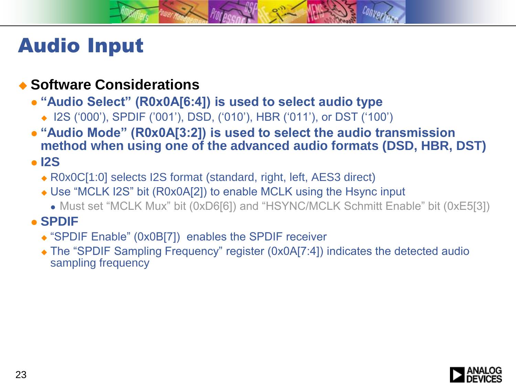#### **Software Considerations**

- **"Audio Select" (R0x0A[6:4]) is used to select audio type**
	- ◆ I2S ('000'), SPDIF ('001'), DSD, ('010'), HBR ('011'), or DST ('100')
- **"Audio Mode" (R0x0A[3:2]) is used to select the audio transmission method when using one of the advanced audio formats (DSD, HBR, DST)**

#### **I2S**

- ◆ R0x0C[1:0] selects I2S format (standard, right, left, AES3 direct)
- Use "MCLK I2S" bit (R0x0A[2]) to enable MCLK using the Hsync input
	- Must set "MCLK Mux" bit (0xD6[6]) and "HSYNC/MCLK Schmitt Enable" bit (0xE5[3])

#### **SPDIF**

- "SPDIF Enable" (0x0B[7]) enables the SPDIF receiver
- The "SPDIF Sampling Frequency" register (0x0A[7:4]) indicates the detected audio sampling frequency

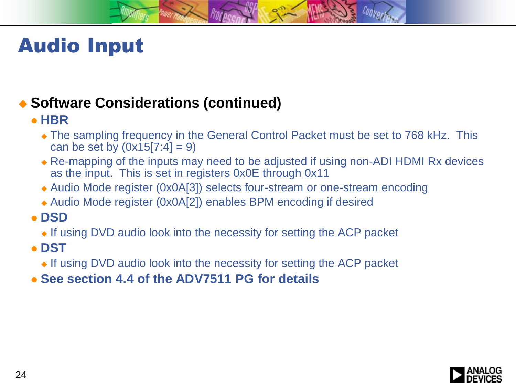### ◆ Software Considerations (continued)

#### **HBR**

- The sampling frequency in the General Control Packet must be set to 768 kHz. This can be set by  $(0x15[7:4] = 9)$
- Re-mapping of the inputs may need to be adjusted if using non-ADI HDMI Rx devices as the input. This is set in registers 0x0E through 0x11
- Audio Mode register (0x0A[3]) selects four-stream or one-stream encoding
- Audio Mode register (0x0A[2]) enables BPM encoding if desired
- **DSD**
	- If using DVD audio look into the necessity for setting the ACP packet
- **DST**
	- $\bullet$  If using DVD audio look into the necessity for setting the ACP packet
- **See section 4.4 of the ADV7511 PG for details**

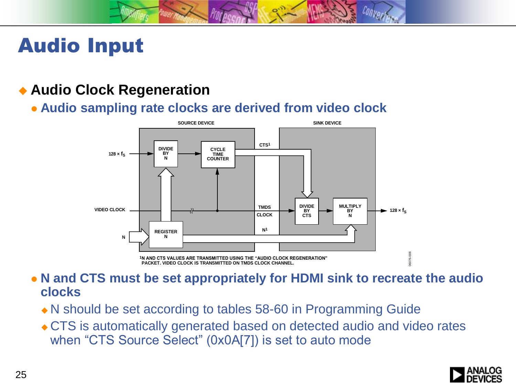#### **Audio Clock Regeneration**

**Audio sampling rate clocks are derived from video clock**



- **N and CTS must be set appropriately for HDMI sink to recreate the audio clocks**
	- N should be set according to tables 58-60 in Programming Guide
	- CTS is automatically generated based on detected audio and video rates when "CTS Source Select" (0x0A[7]) is set to auto mode

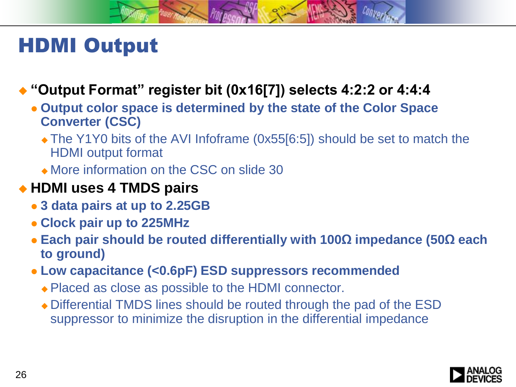## HDMI Output

### **"Output Format" register bit (0x16[7]) selects 4:2:2 or 4:4:4**

- **Output color space is determined by the state of the Color Space Converter (CSC)**
	- The Y1Y0 bits of the AVI Infoframe (0x55[6:5]) should be set to match the HDMI output format
	- More information on the CSC on slide 30

### **HDMI uses 4 TMDS pairs**

- **3 data pairs at up to 2.25GB**
- **Clock pair up to 225MHz**
- **Each pair should be routed differentially with 100Ω impedance (50Ω each to ground)**
- <span id="page-25-0"></span> **Low capacitance (<0.6pF) ESD suppressors recommended**
	- ◆ Placed as close as possible to the HDMI connector.
	- Differential TMDS lines should be routed through the pad of the ESD suppressor to minimize the disruption in the differential impedance

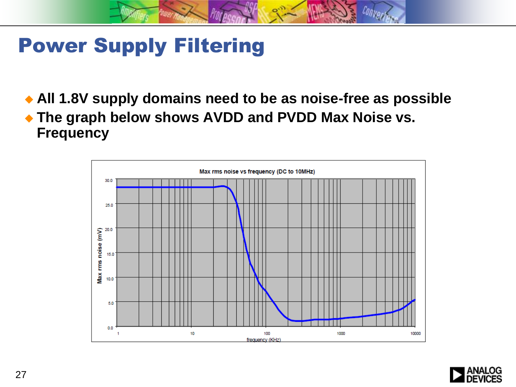## Power Supply Filtering

**All 1.8V supply domains need to be as noise-free as possible**

 **The graph below shows AVDD and PVDD Max Noise vs. Frequency**



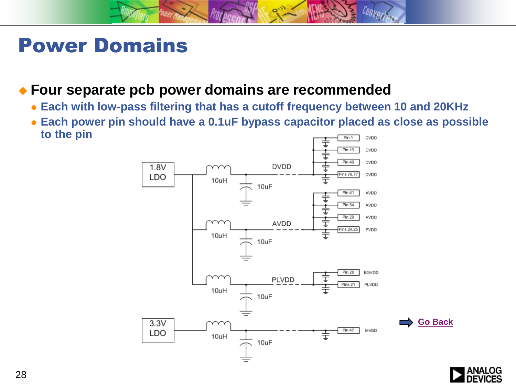### Power Domains

#### **Four separate pcb power domains are recommended**

- **Each with low-pass filtering that has a cutoff frequency between 10 and 20KHz**
- <span id="page-27-0"></span> **Each power pin should have a 0.1uF bypass capacitor placed as close as possible to the pin DVDD** Pin 1



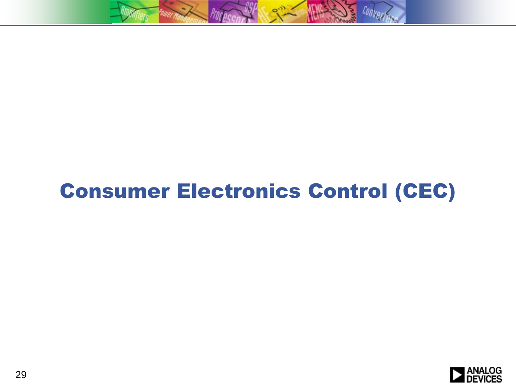

# <span id="page-28-0"></span>Consumer Electronics Control (CEC)

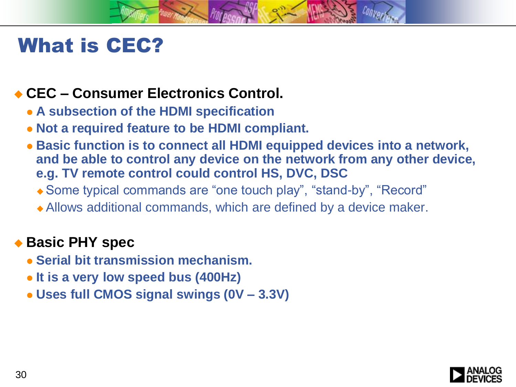

## What is CEC?

### **CEC – Consumer Electronics Control.**

- **A subsection of the HDMI specification**
- **Not a required feature to be HDMI compliant.**
- **Basic function is to connect all HDMI equipped devices into a network, and be able to control any device on the network from any other device, e.g. TV remote control could control HS, DVC, DSC**
	- Some typical commands are "one touch play", "stand-by", "Record"
	- Allows additional commands, which are defined by a device maker.

### ◆ Basic PHY spec

- **Serial bit transmission mechanism.**
- **It is a very low speed bus (400Hz)**
- **Uses full CMOS signal swings (0V – 3.3V)**

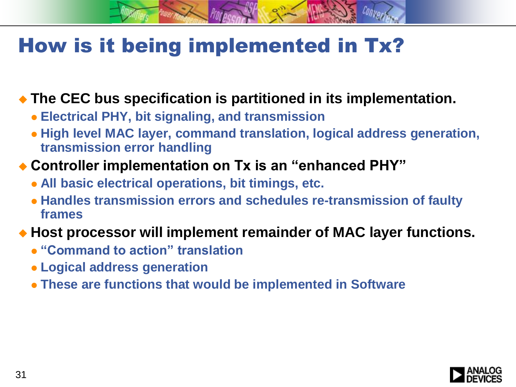## How is it being implemented in Tx?

### **The CEC bus specification is partitioned in its implementation.**

- **Electrical PHY, bit signaling, and transmission**
- **High level MAC layer, command translation, logical address generation, transmission error handling**
- **Controller implementation on Tx is an "enhanced PHY"**
	- **All basic electrical operations, bit timings, etc.**
	- **Handles transmission errors and schedules re-transmission of faulty frames**

### **Host processor will implement remainder of MAC layer functions.**

- **"Command to action" translation**
- **Logical address generation**
- **These are functions that would be implemented in Software**

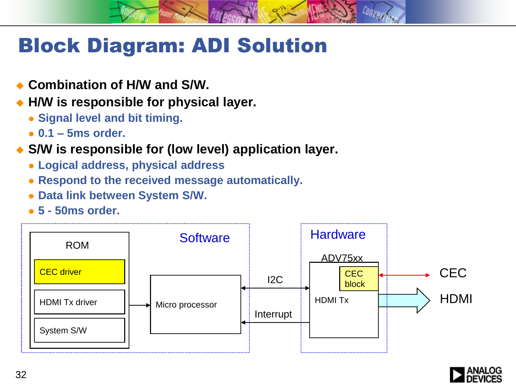## Block Diagram: ADI Solution

- **Combination of H/W and S/W.**
- **H/W is responsible for physical layer.**
	- **Signal level and bit timing.**
	- **0.1 – 5ms order.**
- **S/W is responsible for (low level) application layer.**
	- **Logical address, physical address**
	- **Respond to the received message automatically.**
	- **Data link between System S/W.**
	- **5 - 50ms order.**



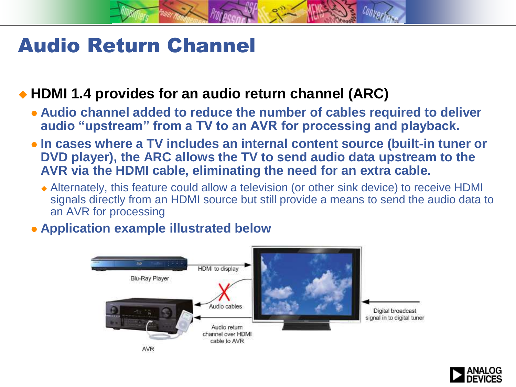## Audio Return Channel

### ◆ HDMI 1.4 provides for an audio return channel (ARC)

- **Audio channel added to reduce the number of cables required to deliver audio "upstream" from a TV to an AVR for processing and playback.**
- **In cases where a TV includes an internal content source (built-in tuner or DVD player), the ARC allows the TV to send audio data upstream to the AVR via the HDMI cable, eliminating the need for an extra cable.**
	- Alternately, this feature could allow a television (or other sink device) to receive HDMI signals directly from an HDMI source but still provide a means to send the audio data to an AVR for processing

#### **Application example illustrated below**



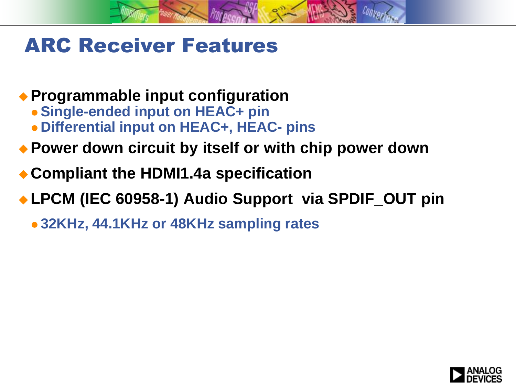## ARC Receiver Features

### **Programmable input configuration**

- **Single-ended input on HEAC+ pin**
- **Differential input on HEAC+, HEAC- pins**
- **Power down circuit by itself or with chip power down**
- **Compliant the HDMI1.4a specification**

### **LPCM (IEC 60958-1) Audio Support via SPDIF\_OUT pin**

**32KHz, 44.1KHz or 48KHz sampling rates**

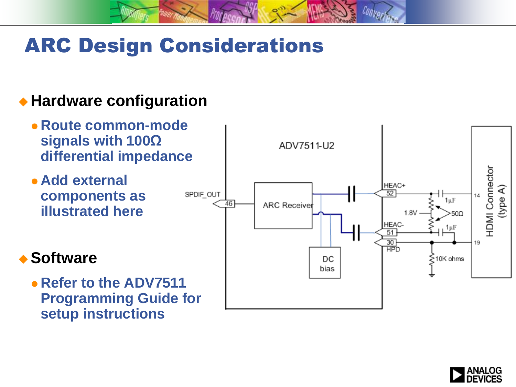# ARC Design Considerations

### **Hardware configuration**

- **Route common-mode signals with 100Ω differential impedance**
- **Add external components as illustrated here**

### **◆ Software**

 **Refer to the ADV7511 Programming Guide for setup instructions**



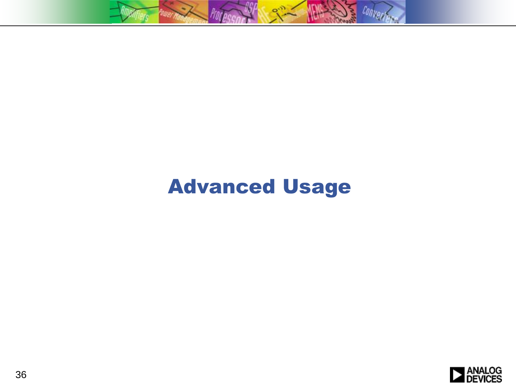

# Advanced Usage

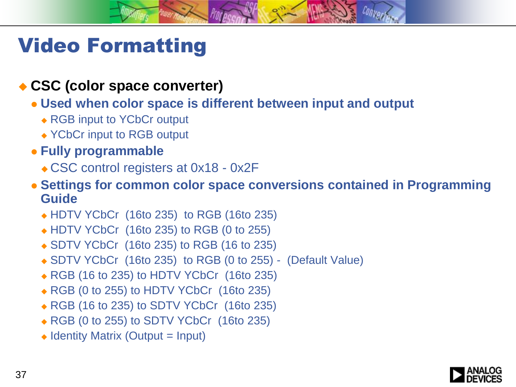## Video Formatting

#### **CSC (color space converter)**

- **Used when color space is different between input and output**
	- ◆ RGB input to YCbCr output
	- ◆ YCbCr input to RGB output
- **Fully programmable** 
	- ◆ CSC control registers at 0x18 0x2F
- <span id="page-36-0"></span> **Settings for common color space conversions contained in Programming Guide**
	- HDTV YCbCr (16to 235) to RGB (16to 235)
	- HDTV YCbCr (16to 235) to RGB (0 to 255)
	- ◆ SDTV YCbCr (16to 235) to RGB (16 to 235)
	- SDTV YCbCr (16to 235) to RGB (0 to 255) (Default Value)
	- ◆ RGB (16 to 235) to HDTV YCbCr (16to 235)
	- ◆ RGB (0 to 255) to HDTV YCbCr (16to 235)
	- ◆ RGB (16 to 235) to SDTV YCbCr (16to 235)
	- ◆ RGB (0 to 255) to SDTV YCbCr (16to 235)
	- $\triangle$  Identity Matrix (Output = Input)

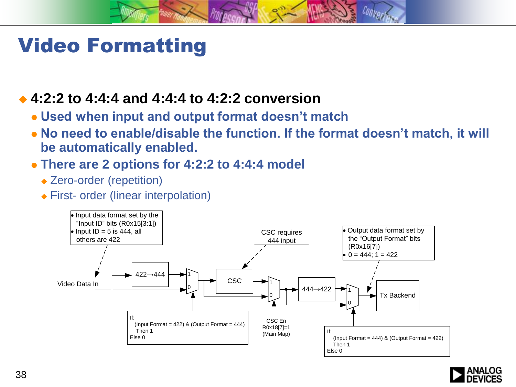## Video Formatting

#### **4:2:2 to 4:4:4 and 4:4:4 to 4:2:2 conversion**

- **Used when input and output format doesn't match**
- **No need to enable/disable the function. If the format doesn't match, it will be automatically enabled.**
- **There are 2 options for 4:2:2 to 4:4:4 model**
	- ◆ Zero-order (repetition)
	- First- order (linear interpolation)



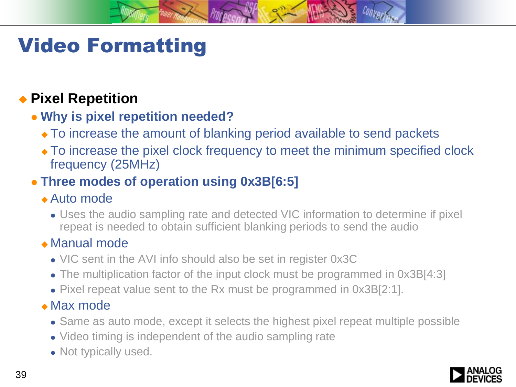# Video Formatting

### **Pixel Repetition**

#### **Why is pixel repetition needed?**

- To increase the amount of blanking period available to send packets
- To increase the pixel clock frequency to meet the minimum specified clock frequency (25MHz)

### **Three modes of operation using 0x3B[6:5]**

#### Auto mode

 Uses the audio sampling rate and detected VIC information to determine if pixel repeat is needed to obtain sufficient blanking periods to send the audio

#### Manual mode

- VIC sent in the AVI info should also be set in register 0x3C
- The multiplication factor of the input clock must be programmed in 0x3B[4:3]
- Pixel repeat value sent to the Rx must be programmed in 0x3B[2:1].

#### Max mode

- Same as auto mode, except it selects the highest pixel repeat multiple possible
- Video timing is independent of the audio sampling rate
- Not typically used.

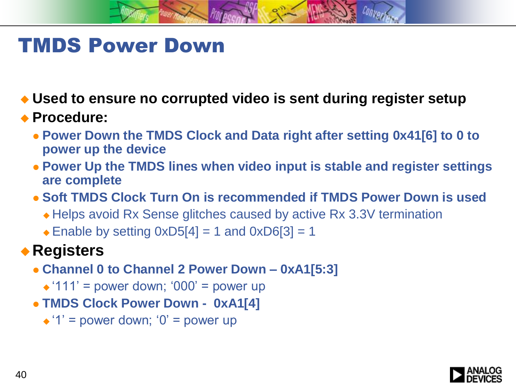## TMDS Power Down

**Used to ensure no corrupted video is sent during register setup**

#### **Procedure:**

- **Power Down the TMDS Clock and Data right after setting 0x41[6] to 0 to power up the device**
- **Power Up the TMDS lines when video input is stable and register settings are complete**
- **Soft TMDS Clock Turn On is recommended if TMDS Power Down is used**
	- Helps avoid Rx Sense glitches caused by active Rx 3.3V termination
	- $\triangle$  Enable by setting 0xD5[4] = 1 and 0xD6[3] = 1

### **Registers**

- **Channel 0 to Channel 2 Power Down – 0xA1[5:3]**
	- $\triangle$  '111' = power down; '000' = power up
- **TMDS Clock Power Down 0xA1[4]**
	- $\triangle$  '1' = power down; '0' = power up

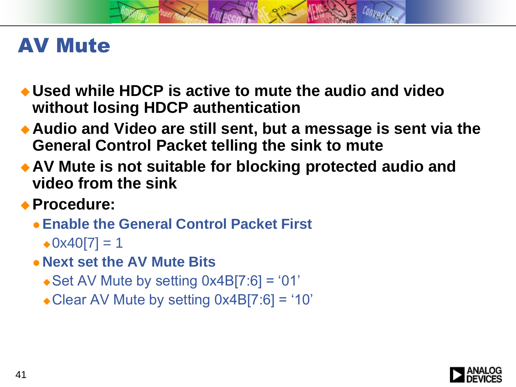### AV Mute

- **Used while HDCP is active to mute the audio and video without losing HDCP authentication**
- **Audio and Video are still sent, but a message is sent via the General Control Packet telling the sink to mute**
- **AV Mute is not suitable for blocking protected audio and video from the sink**
- **Procedure:**
	- **Enable the General Control Packet First**
		- $\triangle$ 0x40[7] = 1
	- **Next set the AV Mute Bits**
		- $\triangleleft$  Set AV Mute by setting 0x4B[7:6] = '01'
		- Clear AV Mute by setting 0x4B[7:6] = '10'

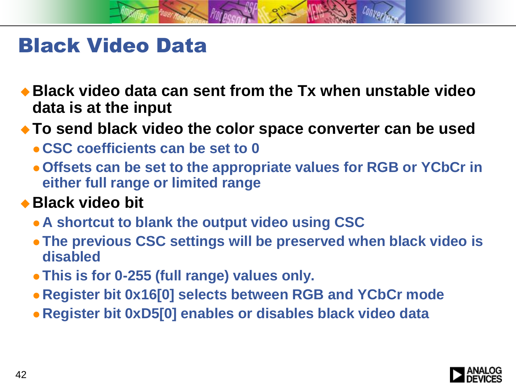

### Black Video Data

- **Black video data can sent from the Tx when unstable video data is at the input**
- **To send black video the color space converter can be used**
	- **CSC coefficients can be set to 0**
	- **Offsets can be set to the appropriate values for RGB or YCbCr in either full range or limited range**

### ◆ Black video bit

- **A shortcut to blank the output video using CSC**
- **The previous CSC settings will be preserved when black video is disabled**
- **This is for 0-255 (full range) values only.**
- **Register bit 0x16[0] selects between RGB and YCbCr mode**
- **Register bit 0xD5[0] enables or disables black video data**

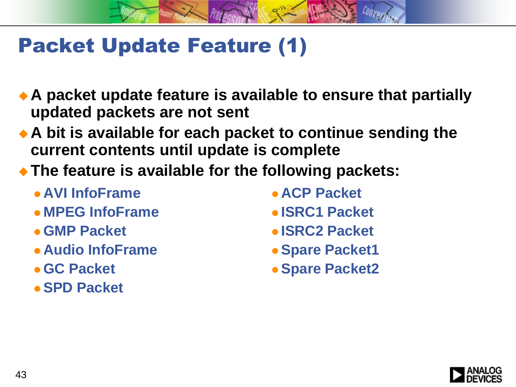## Packet Update Feature (1)

- **A packet update feature is available to ensure that partially updated packets are not sent**
- **A bit is available for each packet to continue sending the current contents until update is complete**
- **The feature is available for the following packets:**
	- **AVI InfoFrame**
	- **MPEG InfoFrame**
	- **GMP Packet**
	- **Audio InfoFrame**
	- **GC Packet**
	- **SPD Packet**
- **ACP Packet**
- **ISRC1 Packet**
- **ISRC2 Packet**
- **Spare Packet1**
- **Spare Packet2**

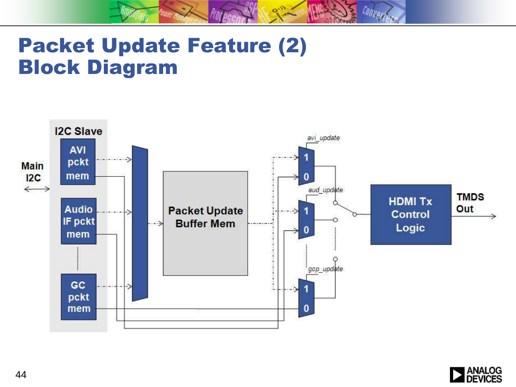## Packet Update Feature (2) Block Diagram



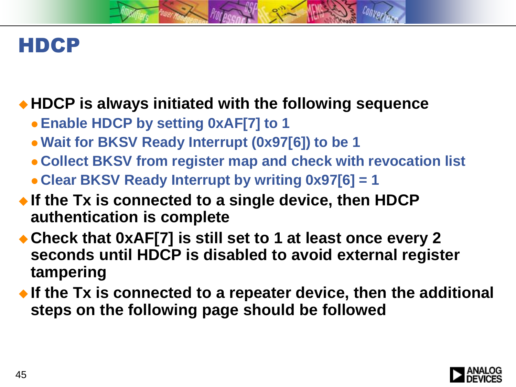### HDCP

### **HDCP is always initiated with the following sequence**

- **Enable HDCP by setting 0xAF[7] to 1**
- **Wait for BKSV Ready Interrupt (0x97[6]) to be 1**
- **Collect BKSV from register map and check with revocation list**
- **Clear BKSV Ready Interrupt by writing 0x97[6] = 1**
- **If the Tx is connected to a single device, then HDCP authentication is complete**
- ◆ Check that 0xAF[7] is still set to 1 at least once every 2 **seconds until HDCP is disabled to avoid external register tampering**
- <span id="page-44-0"></span> **If the Tx is connected to a repeater device, then the additional steps on the following page should be followed**